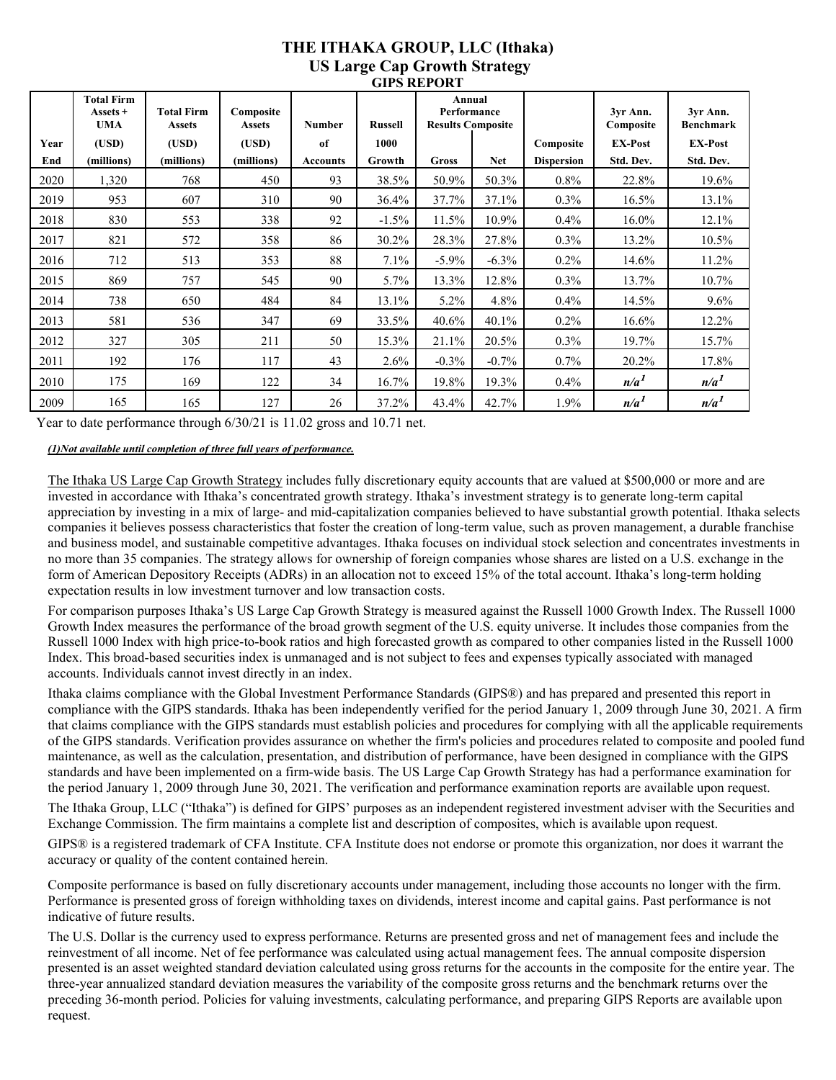## **THE ITHAKA GROUP, LLC (Ithaka) US Large Cap Growth Strategy GIPS REPORT**

|      | <b>Total Firm</b><br>Assets +<br><b>UMA</b> | <b>Total Firm</b><br><b>Assets</b> | Composite<br><b>Assets</b> | <b>Number</b>   | <b>Russell</b> | Annual<br>Performance<br><b>Results Composite</b> |            |                   | 3yr Ann.<br>Composite | 3yr Ann.<br><b>Benchmark</b> |
|------|---------------------------------------------|------------------------------------|----------------------------|-----------------|----------------|---------------------------------------------------|------------|-------------------|-----------------------|------------------------------|
| Year | (USD)                                       | (USD)                              | (USD)                      | of              | 1000           |                                                   |            | Composite         | <b>EX-Post</b>        | <b>EX-Post</b>               |
| End  | (millions)                                  | (millions)                         | (millions)                 | <b>Accounts</b> | Growth         | Gross                                             | <b>Net</b> | <b>Dispersion</b> | Std. Dev.             | Std. Dev.                    |
| 2020 | 1,320                                       | 768                                | 450                        | 93              | 38.5%          | 50.9%                                             | 50.3%      | $0.8\%$           | 22.8%                 | 19.6%                        |
| 2019 | 953                                         | 607                                | 310                        | 90              | 36.4%          | 37.7%                                             | 37.1%      | $0.3\%$           | 16.5%                 | 13.1%                        |
| 2018 | 830                                         | 553                                | 338                        | 92              | $-1.5%$        | 11.5%                                             | 10.9%      | $0.4\%$           | 16.0%                 | 12.1%                        |
| 2017 | 821                                         | 572                                | 358                        | 86              | 30.2%          | 28.3%                                             | 27.8%      | $0.3\%$           | 13.2%                 | 10.5%                        |
| 2016 | 712                                         | 513                                | 353                        | 88              | $7.1\%$        | $-5.9\%$                                          | $-6.3\%$   | $0.2\%$           | 14.6%                 | 11.2%                        |
| 2015 | 869                                         | 757                                | 545                        | 90              | 5.7%           | 13.3%                                             | 12.8%      | $0.3\%$           | 13.7%                 | 10.7%                        |
| 2014 | 738                                         | 650                                | 484                        | 84              | 13.1%          | $5.2\%$                                           | 4.8%       | $0.4\%$           | 14.5%                 | 9.6%                         |
| 2013 | 581                                         | 536                                | 347                        | 69              | 33.5%          | 40.6%                                             | 40.1%      | $0.2\%$           | 16.6%                 | 12.2%                        |
| 2012 | 327                                         | 305                                | 211                        | 50              | 15.3%          | 21.1%                                             | 20.5%      | $0.3\%$           | 19.7%                 | 15.7%                        |
| 2011 | 192                                         | 176                                | 117                        | 43              | 2.6%           | $-0.3\%$                                          | $-0.7%$    | $0.7\%$           | 20.2%                 | 17.8%                        |
| 2010 | 175                                         | 169                                | 122                        | 34              | 16.7%          | 19.8%                                             | 19.3%      | $0.4\%$           | n/a <sup>1</sup>      | n/a <sup>1</sup>             |
| 2009 | 165                                         | 165                                | 127                        | 26              | 37.2%          | 43.4%                                             | 42.7%      | 1.9%              | n/a <sup>1</sup>      | n/a <sup>1</sup>             |

Year to date performance through 6/30/21 is 11.02 gross and 10.71 net.

*(1)Not available until completion of three full years of performance.* 

The Ithaka US Large Cap Growth Strategy includes fully discretionary equity accounts that are valued at \$500,000 or more and are invested in accordance with Ithaka's concentrated growth strategy. Ithaka's investment strategy is to generate long-term capital appreciation by investing in a mix of large- and mid-capitalization companies believed to have substantial growth potential. Ithaka selects companies it believes possess characteristics that foster the creation of long-term value, such as proven management, a durable franchise and business model, and sustainable competitive advantages. Ithaka focuses on individual stock selection and concentrates investments in no more than 35 companies. The strategy allows for ownership of foreign companies whose shares are listed on a U.S. exchange in the form of American Depository Receipts (ADRs) in an allocation not to exceed 15% of the total account. Ithaka's long-term holding expectation results in low investment turnover and low transaction costs.

For comparison purposes Ithaka's US Large Cap Growth Strategy is measured against the Russell 1000 Growth Index. The Russell 1000 Growth Index measures the performance of the broad growth segment of the U.S. equity universe. It includes those companies from the Russell 1000 Index with high price-to-book ratios and high forecasted growth as compared to other companies listed in the Russell 1000 Index. This broad-based securities index is unmanaged and is not subject to fees and expenses typically associated with managed accounts. Individuals cannot invest directly in an index.

Ithaka claims compliance with the Global Investment Performance Standards (GIPS®) and has prepared and presented this report in compliance with the GIPS standards. Ithaka has been independently verified for the period January 1, 2009 through June 30, 2021. A firm that claims compliance with the GIPS standards must establish policies and procedures for complying with all the applicable requirements of the GIPS standards. Verification provides assurance on whether the firm's policies and procedures related to composite and pooled fund maintenance, as well as the calculation, presentation, and distribution of performance, have been designed in compliance with the GIPS standards and have been implemented on a firm-wide basis. The US Large Cap Growth Strategy has had a performance examination for the period January 1, 2009 through June 30, 2021. The verification and performance examination reports are available upon request.

The Ithaka Group, LLC ("Ithaka") is defined for GIPS' purposes as an independent registered investment adviser with the Securities and Exchange Commission. The firm maintains a complete list and description of composites, which is available upon request.

GIPS® is a registered trademark of CFA Institute. CFA Institute does not endorse or promote this organization, nor does it warrant the accuracy or quality of the content contained herein.

Composite performance is based on fully discretionary accounts under management, including those accounts no longer with the firm. Performance is presented gross of foreign withholding taxes on dividends, interest income and capital gains. Past performance is not indicative of future results.

The U.S. Dollar is the currency used to express performance. Returns are presented gross and net of management fees and include the reinvestment of all income. Net of fee performance was calculated using actual management fees. The annual composite dispersion presented is an asset weighted standard deviation calculated using gross returns for the accounts in the composite for the entire year. The three-year annualized standard deviation measures the variability of the composite gross returns and the benchmark returns over the preceding 36-month period. Policies for valuing investments, calculating performance, and preparing GIPS Reports are available upon request.